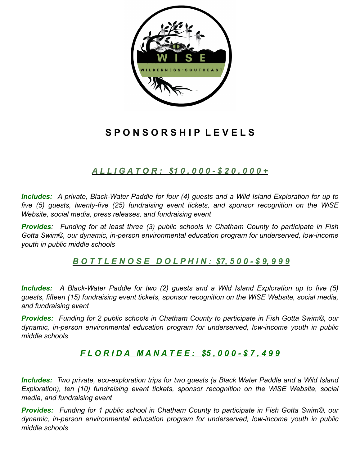

# **S P O N S O R S H I P L E V E L S**

# *A L L I G A T O R : \$1 0 , 0 0 0 - \$ 2 0 , 0 0 0 +*

*Includes: A private, Black-Water Paddle for four (4) guests and a Wild Island Exploration for up to five (5) guests, twenty-five (25) fundraising event tickets, and sponsor recognition on the WiSE Website, social media, press releases, and fundraising event*

*Provides: Funding for at least three (3) public schools in Chatham County to participate in Fish Gotta Swim©, our dynamic, in-person environmental education program for underserved, low-income youth in public middle schools*

# *B O T T L E N O S E D O L P H I N : \$7, 5 0 0 - \$ 9, 9 9 9*

*Includes: A Black-Water Paddle for two (2) guests and a Wild Island Exploration up to five (5) guests, fifteen (15) fundraising event tickets, sponsor recognition on the WiSE Website, social media, and fundraising event*

*Provides: Funding for 2 public schools in Chatham County to participate in Fish Gotta Swim©, our dynamic, in-person environmental education program for underserved, low-income youth in public middle schools*

# *F L O R I D A M A N A T E E : \$5 , 0 0 0 - \$ 7 , 4 9 9*

*Includes: Two private, eco-exploration trips for two guests (a Black Water Paddle and a Wild Island Exploration), ten (10) fundraising event tickets, sponsor recognition on the WiSE Website, social media, and fundraising event*

*Provides: Funding for 1 public school in Chatham County to participate in Fish Gotta Swim©, our dynamic, in-person environmental education program for underserved, low-income youth in public middle schools*